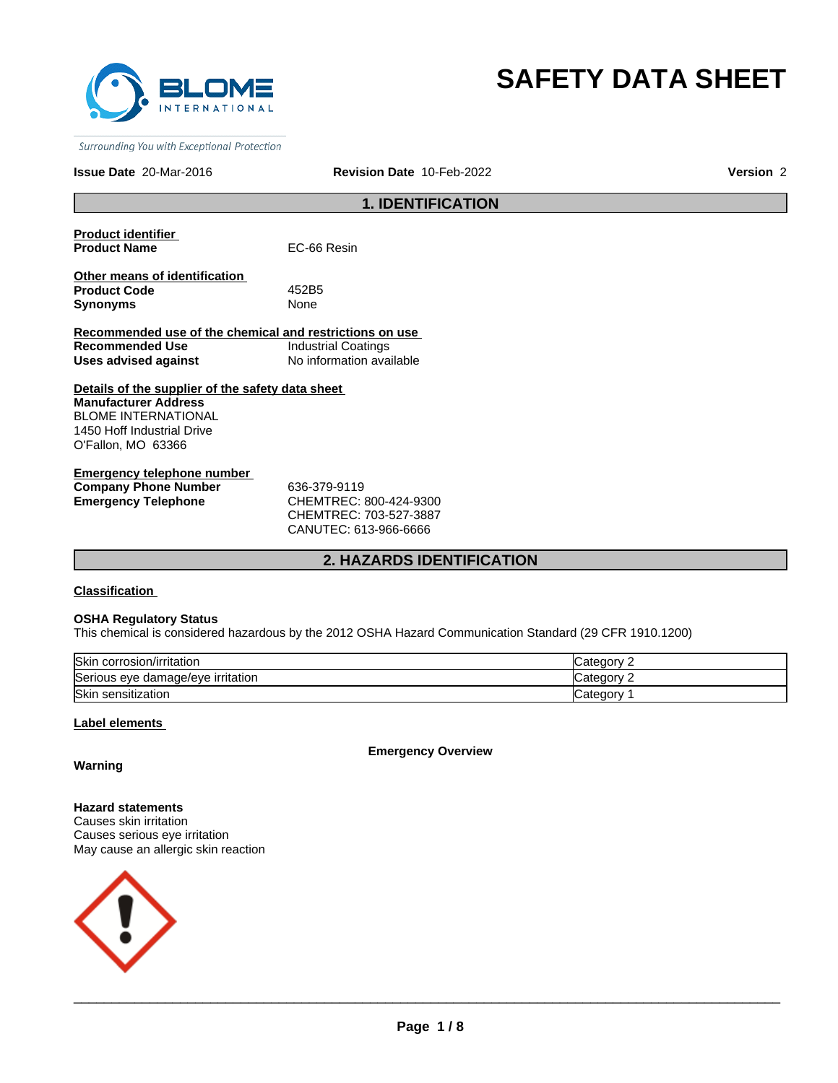

# **SAFETY DATA SHEET**

Surrounding You with Exceptional Protection

#### **Issue Date** 20-Mar-2016 **Revision Date** 10-Feb-2022 **Version** 2

# **1. IDENTIFICATION**

**Product identifier Product Name** EC-66 Resin

**Other means of identification Product Code** 452B5 **Synonyms** None

**Recommended use of the chemical and restrictions on use Recommended Use Industrial Coatings Uses advised against** No information available

**Details of the supplier of the safety data sheet Manufacturer Address** BLOME INTERNATIONAL 1450 Hoff Industrial Drive O'Fallon, MO 63366

**Emergency telephone number Company Phone Number** 636-379-9119 **Emergency Telephone** CHEMTREC: 800-424-9300

CHEMTREC: 703-527-3887 CANUTEC: 613-966-6666

# **2. HAZARDS IDENTIFICATION**

**Classification** 

#### **OSHA Regulatory Status**

This chemical is considered hazardous by the 2012 OSHA Hazard Communication Standard (29 CFR 1910.1200)

| Skin<br>corrosion/irritation      | `at≙n∩rv<br><b>Calcuc</b> |
|-----------------------------------|---------------------------|
| Serious eye damage/eye irritation | ำา∩กาน<br>Caledd          |
| <b>Skin</b><br>sensitization      | Categor∨                  |

#### **Label elements**

**Emergency Overview**

# **Warning**

**Hazard statements** Causes skin irritation Causes serious eye irritation May cause an allergic skin reaction

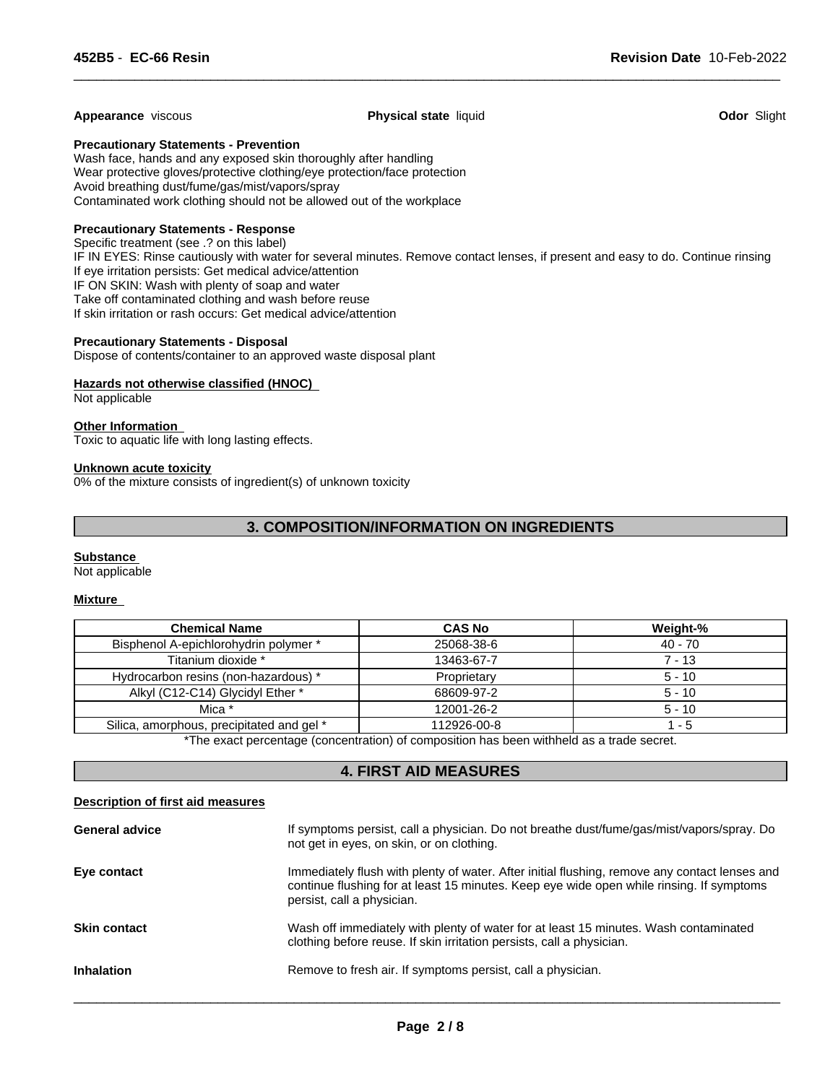**Appearance** viscous **Physical state** liquid **Odor** Slight

 $\overline{\phantom{a}}$  ,  $\overline{\phantom{a}}$  ,  $\overline{\phantom{a}}$  ,  $\overline{\phantom{a}}$  ,  $\overline{\phantom{a}}$  ,  $\overline{\phantom{a}}$  ,  $\overline{\phantom{a}}$  ,  $\overline{\phantom{a}}$  ,  $\overline{\phantom{a}}$  ,  $\overline{\phantom{a}}$  ,  $\overline{\phantom{a}}$  ,  $\overline{\phantom{a}}$  ,  $\overline{\phantom{a}}$  ,  $\overline{\phantom{a}}$  ,  $\overline{\phantom{a}}$  ,  $\overline{\phantom{a}}$ 

**Precautionary Statements - Prevention**

Wash face, hands and any exposed skin thoroughly after handling Wear protective gloves/protective clothing/eye protection/face protection Avoid breathing dust/fume/gas/mist/vapors/spray Contaminated work clothing should not be allowed out of the workplace

#### **Precautionary Statements - Response**

Specific treatment (see .? on this label) IF IN EYES: Rinse cautiously with water for several minutes. Remove contact lenses, if present and easy to do. Continue rinsing If eye irritation persists: Get medical advice/attention IF ON SKIN: Wash with plenty of soap and water Take off contaminated clothing and wash before reuse If skin irritation or rash occurs: Get medical advice/attention

#### **Precautionary Statements - Disposal**

Dispose of contents/container to an approved waste disposal plant

#### **Hazards not otherwise classified (HNOC)**

Not applicable

# **Other Information**

Toxic to aquatic life with long lasting effects.

#### **Unknown acute toxicity**

0% of the mixture consists of ingredient(s) of unknown toxicity

# **3. COMPOSITION/INFORMATION ON INGREDIENTS**

#### **Substance**

Not applicable

#### **Mixture**

| <b>Chemical Name</b>                      | <b>CAS No</b> | Weight-% |
|-------------------------------------------|---------------|----------|
| Bisphenol A-epichlorohydrin polymer *     | 25068-38-6    | 40 - 70  |
| Titanium dioxide *                        | 13463-67-7    | 7 - 13   |
| Hydrocarbon resins (non-hazardous) *      | Proprietary   | $5 - 10$ |
| Alkyl (C12-C14) Glycidyl Ether *          | 68609-97-2    | $5 - 10$ |
| Mica *                                    | 12001-26-2    | $5 - 10$ |
| Silica, amorphous, precipitated and gel * | 112926-00-8   | $1 - 5$  |

\*The exact percentage (concentration) of composition has been withheld as a trade secret.

# **4. FIRST AID MEASURES**

### **Description of first aid measures**

| <b>General advice</b> | If symptoms persist, call a physician. Do not breathe dust/fume/gas/mist/vapors/spray. Do<br>not get in eyes, on skin, or on clothing.                                                                                  |
|-----------------------|-------------------------------------------------------------------------------------------------------------------------------------------------------------------------------------------------------------------------|
| Eye contact           | Immediately flush with plenty of water. After initial flushing, remove any contact lenses and<br>continue flushing for at least 15 minutes. Keep eye wide open while rinsing. If symptoms<br>persist, call a physician. |
| <b>Skin contact</b>   | Wash off immediately with plenty of water for at least 15 minutes. Wash contaminated<br>clothing before reuse. If skin irritation persists, call a physician.                                                           |
| <b>Inhalation</b>     | Remove to fresh air. If symptoms persist, call a physician.                                                                                                                                                             |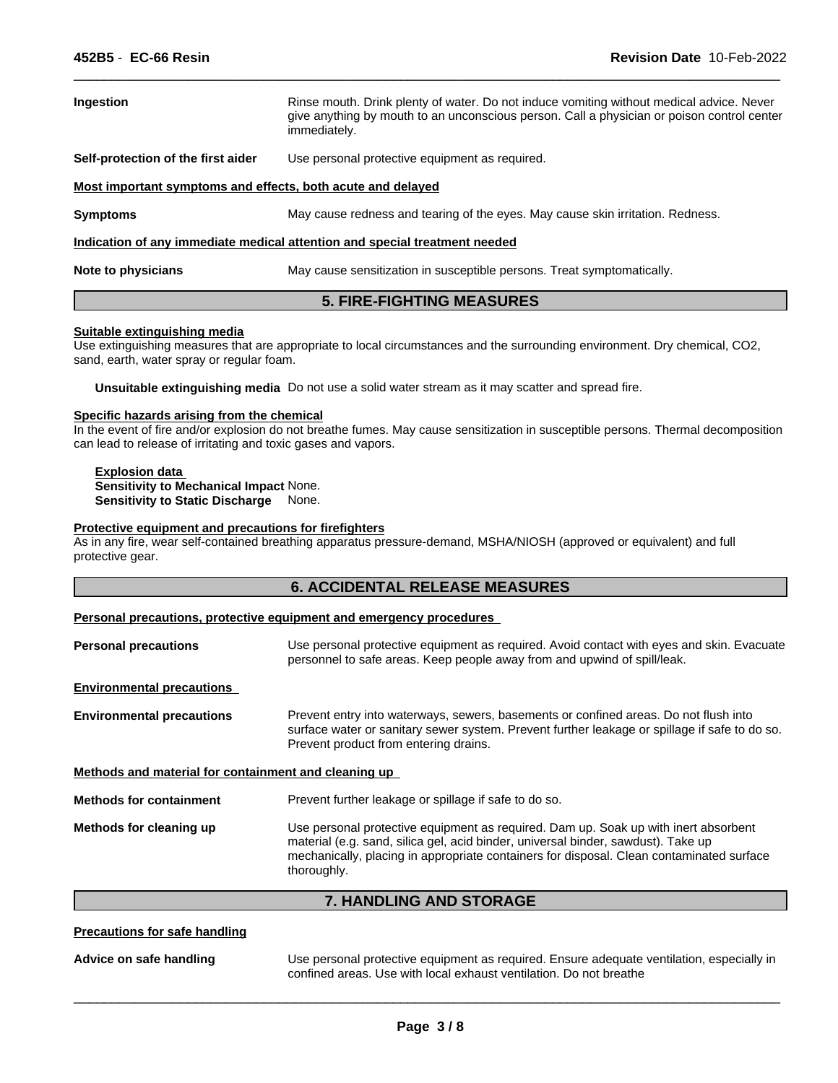| Ingestion                                                                  | Rinse mouth. Drink plenty of water. Do not induce vomiting without medical advice. Never<br>give anything by mouth to an unconscious person. Call a physician or poison control center<br>immediately. |  |  |
|----------------------------------------------------------------------------|--------------------------------------------------------------------------------------------------------------------------------------------------------------------------------------------------------|--|--|
| Self-protection of the first aider                                         | Use personal protective equipment as required.                                                                                                                                                         |  |  |
| Most important symptoms and effects, both acute and delayed                |                                                                                                                                                                                                        |  |  |
| <b>Symptoms</b>                                                            | May cause redness and tearing of the eyes. May cause skin irritation. Redness.                                                                                                                         |  |  |
| Indication of any immediate medical attention and special treatment needed |                                                                                                                                                                                                        |  |  |
| Note to physicians                                                         | May cause sensitization in susceptible persons. Treat symptomatically.                                                                                                                                 |  |  |

 $\overline{\phantom{a}}$  ,  $\overline{\phantom{a}}$  ,  $\overline{\phantom{a}}$  ,  $\overline{\phantom{a}}$  ,  $\overline{\phantom{a}}$  ,  $\overline{\phantom{a}}$  ,  $\overline{\phantom{a}}$  ,  $\overline{\phantom{a}}$  ,  $\overline{\phantom{a}}$  ,  $\overline{\phantom{a}}$  ,  $\overline{\phantom{a}}$  ,  $\overline{\phantom{a}}$  ,  $\overline{\phantom{a}}$  ,  $\overline{\phantom{a}}$  ,  $\overline{\phantom{a}}$  ,  $\overline{\phantom{a}}$ 

# **5. FIRE-FIGHTING MEASURES**

#### **Suitable extinguishing media**

Use extinguishing measures that are appropriate to local circumstances and the surrounding environment. Dry chemical, CO2, sand, earth, water spray or regular foam.

**Unsuitable extinguishing media** Do not use a solid water stream as it may scatter and spread fire.

#### **Specific hazards arising from the chemical**

In the event of fire and/or explosion do not breathe fumes. May cause sensitization in susceptible persons. Thermal decomposition can lead to release of irritating and toxic gases and vapors.

#### **Explosion data Sensitivity to Mechanical Impact** None. **Sensitivity to Static Discharge** None.

# **Protective equipment and precautions for firefighters**

As in any fire, wear self-contained breathing apparatus pressure-demand, MSHA/NIOSH (approved or equivalent) and full protective gear.

#### **Personal precautions, protective equipment and emergency procedures**

| Use personal protective equipment as required. Avoid contact with eyes and skin. Evacuate<br>personnel to safe areas. Keep people away from and upwind of spill/leak.                                                                                                |
|----------------------------------------------------------------------------------------------------------------------------------------------------------------------------------------------------------------------------------------------------------------------|
|                                                                                                                                                                                                                                                                      |
| Prevent entry into waterways, sewers, basements or confined areas. Do not flush into<br>surface water or sanitary sewer system. Prevent further leakage or spillage if safe to do so.<br>Prevent product from entering drains.                                       |
| Methods and material for containment and cleaning up                                                                                                                                                                                                                 |
| Prevent further leakage or spillage if safe to do so.                                                                                                                                                                                                                |
| Use personal protective equipment as required. Dam up. Soak up with inert absorbent<br>material (e.g. sand, silica gel, acid binder, universal binder, sawdust). Take up<br>mechanically, placing in appropriate containers for disposal. Clean contaminated surface |
|                                                                                                                                                                                                                                                                      |

**7. HANDLING AND STORAGE**

#### **Precautions for safe handling**

**Advice on safe handling** Use personal protective equipment as required. Ensure adequate ventilation, especially in confined areas. Use with local exhaust ventilation. Do not breathe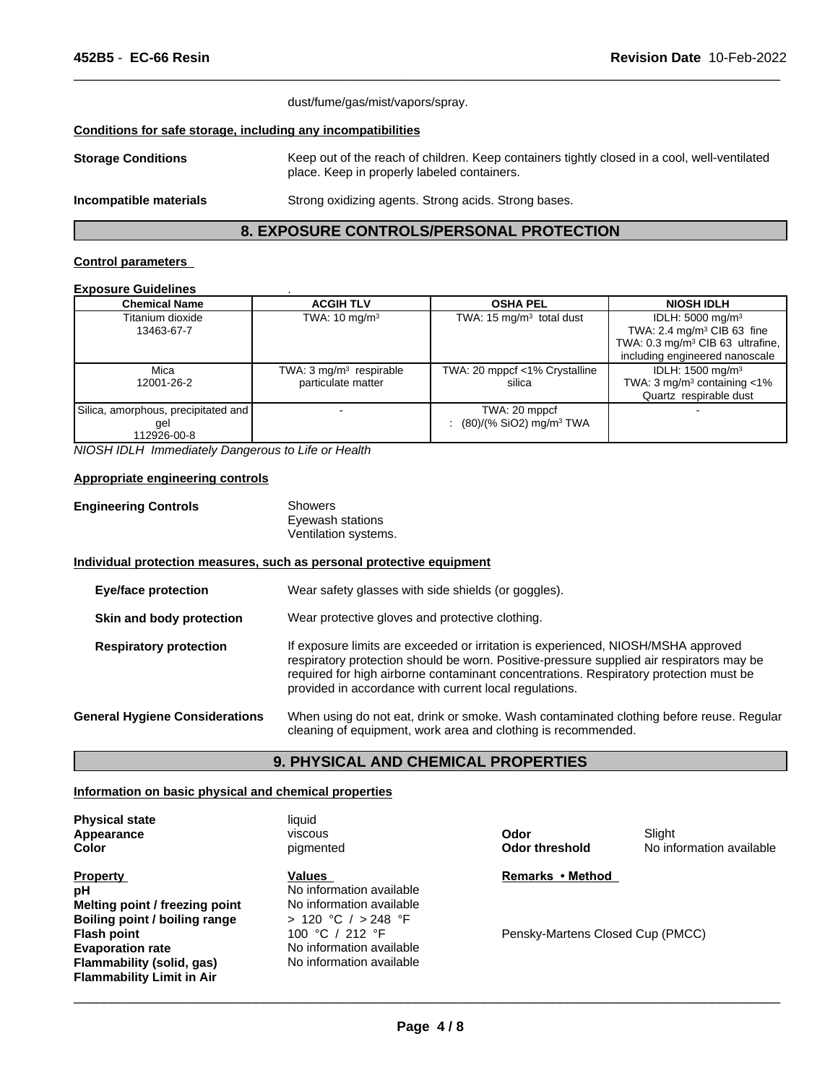|                                                              | dust/fume/gas/mist/vapors/spray.                                                                                                            |
|--------------------------------------------------------------|---------------------------------------------------------------------------------------------------------------------------------------------|
| Conditions for safe storage, including any incompatibilities |                                                                                                                                             |
| <b>Storage Conditions</b>                                    | Keep out of the reach of children. Keep containers tightly closed in a cool, well-ventilated<br>place. Keep in properly labeled containers. |
| Incompatible materials                                       | Strong oxidizing agents. Strong acids. Strong bases.                                                                                        |

 $\overline{\phantom{a}}$  ,  $\overline{\phantom{a}}$  ,  $\overline{\phantom{a}}$  ,  $\overline{\phantom{a}}$  ,  $\overline{\phantom{a}}$  ,  $\overline{\phantom{a}}$  ,  $\overline{\phantom{a}}$  ,  $\overline{\phantom{a}}$  ,  $\overline{\phantom{a}}$  ,  $\overline{\phantom{a}}$  ,  $\overline{\phantom{a}}$  ,  $\overline{\phantom{a}}$  ,  $\overline{\phantom{a}}$  ,  $\overline{\phantom{a}}$  ,  $\overline{\phantom{a}}$  ,  $\overline{\phantom{a}}$ 

# **8. EXPOSURE CONTROLS/PERSONAL PROTECTION**

#### **Control parameters**

#### **Exposure Guidelines** .

| <b>Chemical Name</b>                | <b>ACGIH TLV</b>                   | <b>OSHA PEL</b>                       | <b>NIOSH IDLH</b>                            |
|-------------------------------------|------------------------------------|---------------------------------------|----------------------------------------------|
| Titanium dioxide                    | TWA: $10 \text{ mg/m}^3$           | TWA: 15 $mg/m3$ total dust            | IDLH: $5000 \text{ mg/m}^3$                  |
| 13463-67-7                          |                                    |                                       | TWA: 2.4 mg/m <sup>3</sup> CIB 63 fine       |
|                                     |                                    |                                       | TWA: $0.3 \text{ mg/m}^3$ CIB 63 ultrafine,  |
|                                     |                                    |                                       | including engineered nanoscale               |
| Mica                                | TWA: $3 \text{ mg/m}^3$ respirable | TWA: 20 mppcf <1% Crystalline         | IDLH: 1500 mg/m <sup>3</sup>                 |
| 12001-26-2                          | particulate matter                 | silica                                | TWA: $3 \text{ mg/m}^3$ containing $\lt 1\%$ |
|                                     |                                    |                                       | Quartz respirable dust                       |
| Silica, amorphous, precipitated and |                                    | TWA: 20 mppcf                         |                                              |
| gel                                 |                                    | $(80)/(%$ SiO2) mg/m <sup>3</sup> TWA |                                              |
| 12926-00-8                          |                                    |                                       |                                              |

*NIOSH IDLH Immediately Dangerous to Life or Health*

#### **Appropriate engineering controls**

| <b>Engineering Controls</b> | Showers              |  |
|-----------------------------|----------------------|--|
|                             | Eyewash stations     |  |
|                             | Ventilation systems. |  |

#### **Individual protection measures, such as personal protective equipment**

| <b>Eye/face protection</b>            | Wear safety glasses with side shields (or goggles).                                                                                                                                                                                                                                                                              |
|---------------------------------------|----------------------------------------------------------------------------------------------------------------------------------------------------------------------------------------------------------------------------------------------------------------------------------------------------------------------------------|
| Skin and body protection              | Wear protective gloves and protective clothing.                                                                                                                                                                                                                                                                                  |
| <b>Respiratory protection</b>         | If exposure limits are exceeded or irritation is experienced, NIOSH/MSHA approved<br>respiratory protection should be worn. Positive-pressure supplied air respirators may be<br>required for high airborne contaminant concentrations. Respiratory protection must be<br>provided in accordance with current local regulations. |
| <b>General Hygiene Considerations</b> | When using do not eat, drink or smoke. Wash contaminated clothing before reuse. Regular<br>cleaning of equipment, work area and clothing is recommended.                                                                                                                                                                         |

#### **9. PHYSICAL AND CHEMICAL PROPERTIES**

#### **Information on basic physical and chemical properties**

**Physical state** liquid **Color Appearance**

**Melting point / freezing point** No information available<br> **Boiling point / boiling range**  $\rightarrow$  120 °C / > 248 °F **Boiling point / boiling range Flash point Flash point** 100 °C / 212 °F<br> **Evaporation rate** No information ave **Property Flammability (solid, gas) Flammability Limit in Air pH** No information available

pigmented viscous

No information available<br>No information available **Values** 

**Odor**

**Odor threshold** No information available Slight

**Remarks•Method**

Pensky-Martens Closed Cup (PMCC)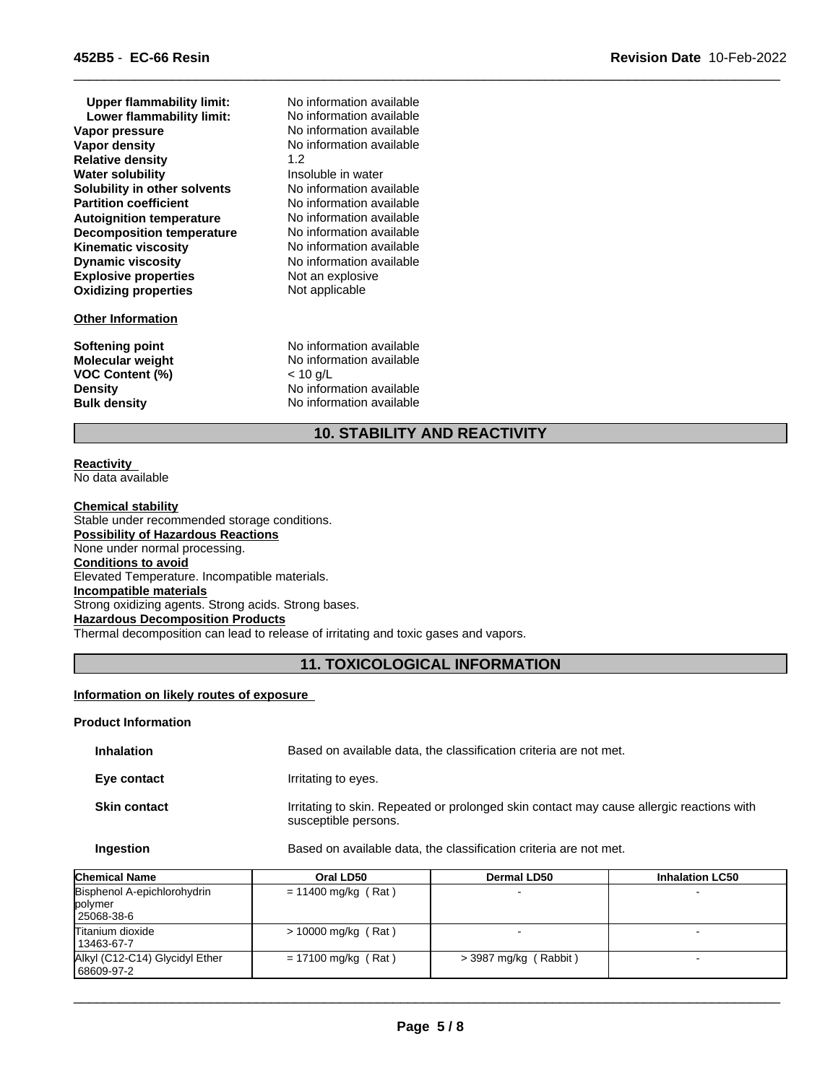| <b>Upper flammability limit:</b><br>Lower flammability limit:<br>Vapor pressure<br>Vapor density<br><b>Relative density</b><br><b>Water solubility</b><br>Solubility in other solvents<br><b>Partition coefficient</b><br><b>Autoignition temperature</b><br><b>Decomposition temperature</b><br><b>Kinematic viscosity</b><br><b>Dynamic viscosity</b><br><b>Explosive properties</b><br><b>Oxidizing properties</b><br><b>Other Information</b> | No information available<br>No information available<br>No information available<br>No information available<br>1.2<br>Insoluble in water<br>No information available<br>No information available<br>No information available<br>No information available<br>No information available<br>No information available<br>Not an explosive<br>Not applicable |
|---------------------------------------------------------------------------------------------------------------------------------------------------------------------------------------------------------------------------------------------------------------------------------------------------------------------------------------------------------------------------------------------------------------------------------------------------|---------------------------------------------------------------------------------------------------------------------------------------------------------------------------------------------------------------------------------------------------------------------------------------------------------------------------------------------------------|
| <b>Softening point</b>                                                                                                                                                                                                                                                                                                                                                                                                                            | No information available                                                                                                                                                                                                                                                                                                                                |
| <b>Molecular weight</b>                                                                                                                                                                                                                                                                                                                                                                                                                           | No information available                                                                                                                                                                                                                                                                                                                                |
| <b>VOC Content (%)</b>                                                                                                                                                                                                                                                                                                                                                                                                                            | < 10 g/L                                                                                                                                                                                                                                                                                                                                                |
| <b>Density</b>                                                                                                                                                                                                                                                                                                                                                                                                                                    | No information available                                                                                                                                                                                                                                                                                                                                |
| <b>Bulk density</b>                                                                                                                                                                                                                                                                                                                                                                                                                               | No information available                                                                                                                                                                                                                                                                                                                                |

# **10. STABILITY AND REACTIVITY**

 $\overline{\phantom{a}}$  ,  $\overline{\phantom{a}}$  ,  $\overline{\phantom{a}}$  ,  $\overline{\phantom{a}}$  ,  $\overline{\phantom{a}}$  ,  $\overline{\phantom{a}}$  ,  $\overline{\phantom{a}}$  ,  $\overline{\phantom{a}}$  ,  $\overline{\phantom{a}}$  ,  $\overline{\phantom{a}}$  ,  $\overline{\phantom{a}}$  ,  $\overline{\phantom{a}}$  ,  $\overline{\phantom{a}}$  ,  $\overline{\phantom{a}}$  ,  $\overline{\phantom{a}}$  ,  $\overline{\phantom{a}}$ 

#### **Reactivity**  No data available

**Chemical stability** Stable under recommended storage conditions. **Possibility of Hazardous Reactions** None under normal processing. **Conditions to avoid** Elevated Temperature. Incompatible materials. **Incompatible materials** Strong oxidizing agents. Strong acids. Strong bases. **Hazardous Decomposition Products** Thermal decomposition can lead to release of irritating and toxic gases and vapors.

# **11. TOXICOLOGICAL INFORMATION**

#### **Information on likely routes of exposure**

#### **Product Information**

| <b>Inhalation</b>   | Based on available data, the classification criteria are not met.                                                |
|---------------------|------------------------------------------------------------------------------------------------------------------|
| Eye contact         | Irritating to eyes.                                                                                              |
| <b>Skin contact</b> | Irritating to skin. Repeated or prolonged skin contact may cause allergic reactions with<br>susceptible persons. |
| Ingestion           | Based on available data, the classification criteria are not met.                                                |

| <b>Chemical Name</b>                                 | Oral LD50             | <b>Dermal LD50</b>    | <b>Inhalation LC50</b> |
|------------------------------------------------------|-----------------------|-----------------------|------------------------|
| Bisphenol A-epichlorohydrin<br>polymer<br>25068-38-6 | $= 11400$ mg/kg (Rat) |                       |                        |
| Titanium dioxide<br>l 13463-67-7                     | > 10000 mg/kg (Rat)   |                       |                        |
| Alkyl (C12-C14) Glycidyl Ether<br>68609-97-2         | $= 17100$ mg/kg (Rat) | > 3987 mg/kg (Rabbit) |                        |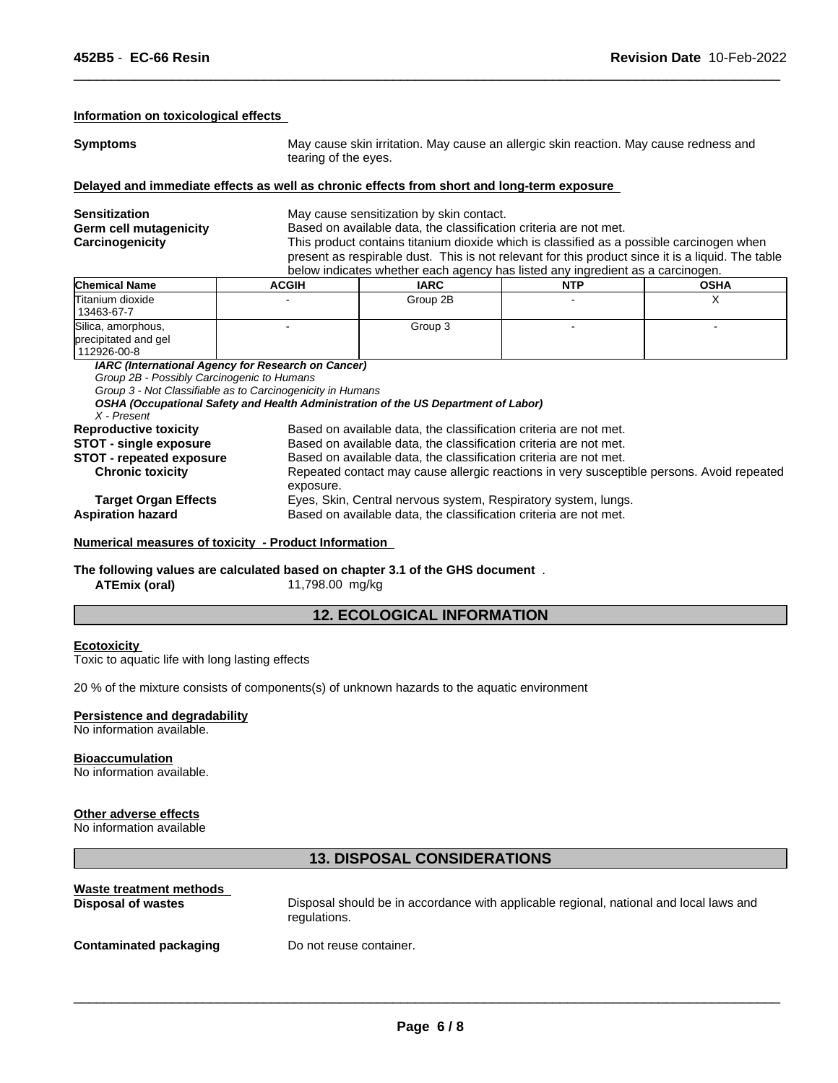#### **Information on toxicological effects**

**Symptoms May cause skin irritation. May cause an allergic skin reaction. May cause redness and** tearing of the eyes.

 $\overline{\phantom{a}}$  ,  $\overline{\phantom{a}}$  ,  $\overline{\phantom{a}}$  ,  $\overline{\phantom{a}}$  ,  $\overline{\phantom{a}}$  ,  $\overline{\phantom{a}}$  ,  $\overline{\phantom{a}}$  ,  $\overline{\phantom{a}}$  ,  $\overline{\phantom{a}}$  ,  $\overline{\phantom{a}}$  ,  $\overline{\phantom{a}}$  ,  $\overline{\phantom{a}}$  ,  $\overline{\phantom{a}}$  ,  $\overline{\phantom{a}}$  ,  $\overline{\phantom{a}}$  ,  $\overline{\phantom{a}}$ 

#### **Delayed and immediate effects as well as chronic effects from short and long-term exposure**

| <b>Sensitization</b><br>Germ cell mutagenicity<br>Carcinogenicity | May cause sensitization by skin contact.<br>Based on available data, the classification criteria are not met.<br>This product contains titanium dioxide which is classified as a possible carcinogen when<br>present as respirable dust. This is not relevant for this product since it is a liquid. The table<br>below indicates whether each agency has listed any ingredient as a carcinogen. |             |            |             |
|-------------------------------------------------------------------|--------------------------------------------------------------------------------------------------------------------------------------------------------------------------------------------------------------------------------------------------------------------------------------------------------------------------------------------------------------------------------------------------|-------------|------------|-------------|
| <b>Chemical Name</b>                                              | <b>ACGIH</b>                                                                                                                                                                                                                                                                                                                                                                                     | <b>IARC</b> | <b>NTP</b> | <b>OSHA</b> |
| Titanium dioxide<br>13463-67-7                                    |                                                                                                                                                                                                                                                                                                                                                                                                  | Group 2B    |            |             |
| Silica, amorphous,<br>precipitated and gel<br>112926-00-8         |                                                                                                                                                                                                                                                                                                                                                                                                  | Group 3     |            |             |
| Group 2B - Possibly Carcinogenic to Humans                        | IARC (International Agency for Research on Cancer)<br>Group 3 - Not Classifiable as to Carcinogenicity in Humans                                                                                                                                                                                                                                                                                 |             |            |             |

*OSHA (Occupational Safety and Health Administration of the US Department of Labor)*

#### *X - Present*

| <b>Reproductive toxicity</b>    | Based on available data, the classification criteria are not met.                         |
|---------------------------------|-------------------------------------------------------------------------------------------|
| <b>STOT - single exposure</b>   | Based on available data, the classification criteria are not met.                         |
| <b>STOT - repeated exposure</b> | Based on available data, the classification criteria are not met.                         |
| <b>Chronic toxicity</b>         | Repeated contact may cause allergic reactions in very susceptible persons. Avoid repeated |
|                                 | exposure.                                                                                 |
| <b>Target Organ Effects</b>     | Eyes, Skin, Central nervous system, Respiratory system, lungs.                            |
| <b>Aspiration hazard</b>        | Based on available data, the classification criteria are not met.                         |
|                                 |                                                                                           |

#### **Numerical measures of toxicity - Product Information**

#### **The following values are calculated based on chapter 3.1 of the GHS document** . **ATEmix (oral)** 11,798.00 mg/kg

# **12. ECOLOGICAL INFORMATION**

#### **Ecotoxicity**

Toxic to aquatic life with long lasting effects

20 % of the mixture consists of components(s) of unknown hazards to the aquatic environment

### **Persistence and degradability**

No information available.

#### **Bioaccumulation**

No information available.

#### **Other adverse effects**

No information available

#### **13. DISPOSAL CONSIDERATIONS**

| Waste treatment methods       | Disposal should be in accordance with applicable regional, national and local laws and |
|-------------------------------|----------------------------------------------------------------------------------------|
| <b>Disposal of wastes</b>     | regulations.                                                                           |
| <b>Contaminated packaging</b> | Do not reuse container.                                                                |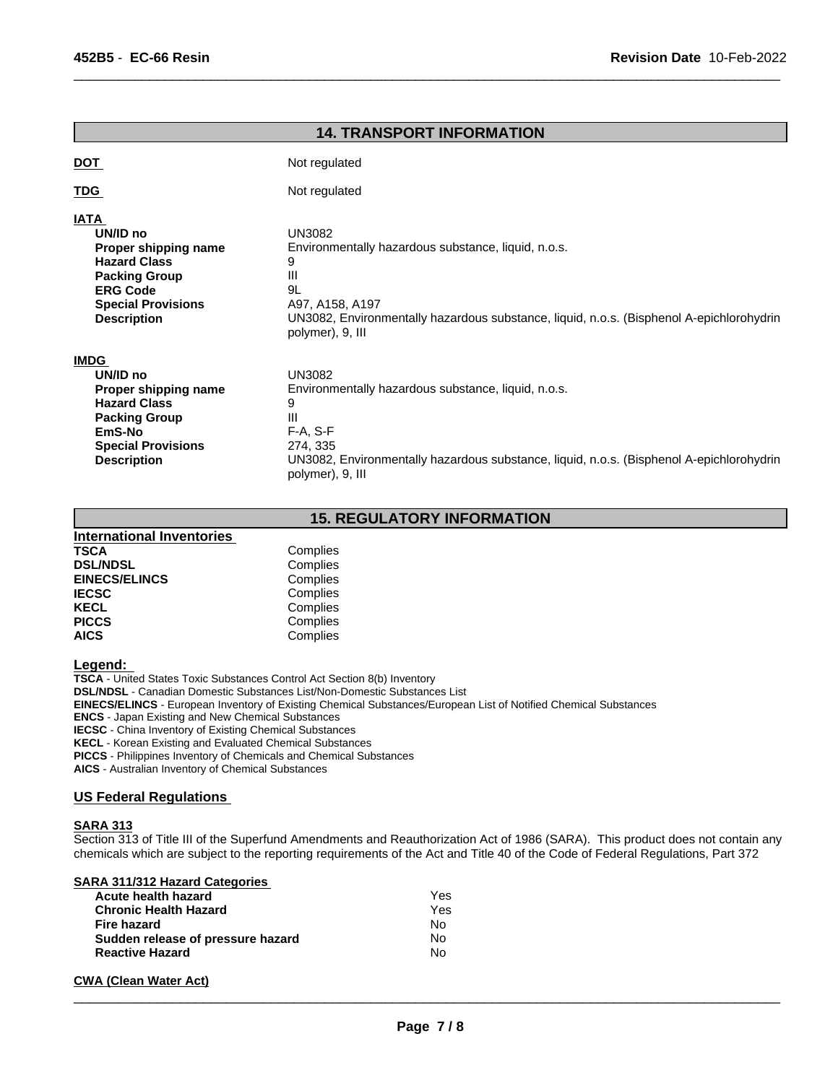|                                                                                                                                                                      | <b>14. TRANSPORT INFORMATION</b>                                                                                                                                                                                         |
|----------------------------------------------------------------------------------------------------------------------------------------------------------------------|--------------------------------------------------------------------------------------------------------------------------------------------------------------------------------------------------------------------------|
| <b>DOT</b>                                                                                                                                                           | Not regulated                                                                                                                                                                                                            |
| TDG                                                                                                                                                                  | Not regulated                                                                                                                                                                                                            |
| <b>IATA</b><br>UN/ID no<br>Proper shipping name<br><b>Hazard Class</b><br><b>Packing Group</b><br><b>ERG Code</b><br><b>Special Provisions</b><br><b>Description</b> | <b>UN3082</b><br>Environmentally hazardous substance, liquid, n.o.s.<br>9<br>Ш<br>9L<br>A97, A158, A197<br>UN3082, Environmentally hazardous substance, liquid, n.o.s. (Bisphenol A-epichlorohydrin<br>polymer), 9, III  |
| <b>IMDG</b><br>UN/ID no<br>Proper shipping name<br><b>Hazard Class</b><br><b>Packing Group</b><br>EmS-No<br><b>Special Provisions</b><br><b>Description</b>          | <b>UN3082</b><br>Environmentally hazardous substance, liquid, n.o.s.<br>9<br>Ш<br>$F-A, S-F$<br>274, 335<br>UN3082, Environmentally hazardous substance, liquid, n.o.s. (Bisphenol A-epichlorohydrin<br>polymer), 9, III |

 $\overline{\phantom{a}}$  ,  $\overline{\phantom{a}}$  ,  $\overline{\phantom{a}}$  ,  $\overline{\phantom{a}}$  ,  $\overline{\phantom{a}}$  ,  $\overline{\phantom{a}}$  ,  $\overline{\phantom{a}}$  ,  $\overline{\phantom{a}}$  ,  $\overline{\phantom{a}}$  ,  $\overline{\phantom{a}}$  ,  $\overline{\phantom{a}}$  ,  $\overline{\phantom{a}}$  ,  $\overline{\phantom{a}}$  ,  $\overline{\phantom{a}}$  ,  $\overline{\phantom{a}}$  ,  $\overline{\phantom{a}}$ 

# **15. REGULATORY INFORMATION**

| International Inventories |          |  |
|---------------------------|----------|--|
| <b>TSCA</b>               | Complies |  |
| <b>DSL/NDSL</b>           | Complies |  |
| <b>EINECS/ELINCS</b>      | Complies |  |
| <b>IECSC</b>              | Complies |  |
| <b>KECL</b>               | Complies |  |
| <b>PICCS</b>              | Complies |  |
| <b>AICS</b>               | Complies |  |

**Legend:** 

**TSCA** - United States Toxic Substances Control Act Section 8(b) Inventory **DSL/NDSL** - Canadian Domestic Substances List/Non-Domestic Substances List **EINECS/ELINCS** - European Inventory of Existing Chemical Substances/European List of Notified Chemical Substances **ENCS** - Japan Existing and New Chemical Substances **IECSC** - China Inventory of Existing Chemical Substances **KECL** - Korean Existing and Evaluated Chemical Substances **PICCS** - Philippines Inventory of Chemicals and Chemical Substances

**AICS** - Australian Inventory of Chemical Substances

### **US Federal Regulations**

#### **SARA 313**

Section 313 of Title III of the Superfund Amendments and Reauthorization Act of 1986 (SARA). This product does not contain any chemicals which are subject to the reporting requirements of the Act and Title 40 of the Code of Federal Regulations, Part 372

| SARA 311/312 Hazard Categories    |     |  |
|-----------------------------------|-----|--|
| Acute health hazard               | Yes |  |
| <b>Chronic Health Hazard</b>      | Yes |  |
| Fire hazard                       | No  |  |
| Sudden release of pressure hazard | No  |  |
| <b>Reactive Hazard</b>            | N٥  |  |
|                                   |     |  |

#### **CWA (Clean Water Act)**